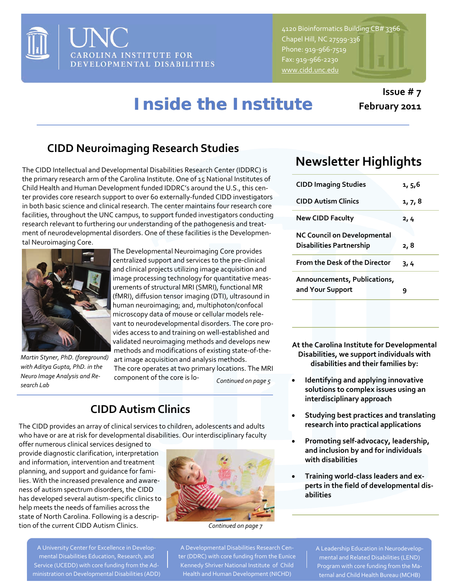

4120 Bioinformatics Building CB# 3366 Chapel Hill, NC 27599‐336 Phone: 919‐966‐7519 Fax: 919‐966‐2230

# *Inside the Institute*

### **CIDD Neuroimaging Research Studies**

The CIDD Intellectual and Developmental Disabilities Research Center (IDDRC) is the primary research arm of the Carolina Institute. One of 15 National Institutes of Child Health and Human Development funded IDDRC's around the U.S., this cen‐ ter provides core research support to over 60 externally‐funded CIDD investigators in both basic science and clinical research. The center maintains four research core facilities, throughout the UNC campus, to support funded investigators conducting research relevant to furthering our understanding of the pathogenesis and treat‐ ment of neurodevelopmental disorders. One of these facilities is the Developmen‐ tal Neuroimaging Core.



*Martin Styner, PhD. (foreground) with Aditya Gupta, PhD. in the Neuro Image Analysis and Re‐ search Lab* 

The Developmental Neuroimaging Core provides centralized support and services to the pre‐clinical and clinical projects utilizing image acquisition and image processing technology for quantitative meas‐ urements of structural MRI (SMRI), functional MR (fMRI), diffusion tensor imaging (DTI), ultrasound in human neuroimaging; and, multiphoton/confocal microscopy data of mouse or cellular models rele‐ vant to neurodevelopmental disorders. The core pro‐ vides access to and training on well‐established and validated neuroimaging methods and develops new methods and modifications of existing state‐of‐the‐ art image acquisition and analysis methods.

The core operates at two primary locations. The MRI component of the core is lo‐ *Continued on page 5*

### **CIDDAutism Clinics**

The CIDD provides an array of clinical services to children, adolescents and adults who have or are at risk for developmental disabilities. Our interdisciplinary faculty

offer numerous clinical services designed to provide diagnostic clarification, interpretation and information, intervention and treatment planning, and support and guidance for fami‐ lies. With the increased prevalence and aware‐ ness of autism spectrum disorders, the CIDD has developed several autism‐specific clinics to help meets the needs of families across the state of North Carolina. Following is a descrip‐ tion of the current CIDD Autism Clinics.



*Continued on page 7*

A University Center for Excellence in Develop‐ mental Disabilities Education, Research, and Service (UCEDD) with core funding from the Ad‐ ministration on Developmental Disabilities (ADD)

A Developmental Disabilities Research Cen‐ ter (DDRC) with core funding from the Eunice Kennedy Shriver National Institute of Child Health and Human Development (NICHD)

## **Newsletter Highlights**

| <b>CIDD Imaging Studies</b>                                    | 1, 5,6  |
|----------------------------------------------------------------|---------|
| <b>CIDD Autism Clinics</b>                                     | 1, 7, 8 |
| <b>New CIDD Faculty</b>                                        | 2,4     |
| NC Council on Developmental<br><b>Disabilities Partnership</b> | 2, 8    |
| <b>From the Desk of the Director</b>                           | 3, 4    |
| Announcements, Publications,<br>and Your Support               | ٩       |
|                                                                |         |

**At the Carolina Institute for Developmental Disabilities, we support individuals with disabilities and their families by:**

- **Identifying and applying innovative solutions to complex issues using an interdisciplinary approach**
- **Studying best practices and translating research into practical applications**
- **Promoting self‐advocacy, leadership, and inclusion by and for individuals with disabilities**
- **Training world‐class leaders and ex‐ perts in the field of developmental dis‐ abilities**

A Leadership Education in Neurodevelop‐ mental and Related Disabilities (LEND) Program with core funding from the Ma‐ ternal and Child Health Bureau (MCHB)

**Issue # 7 February 2011**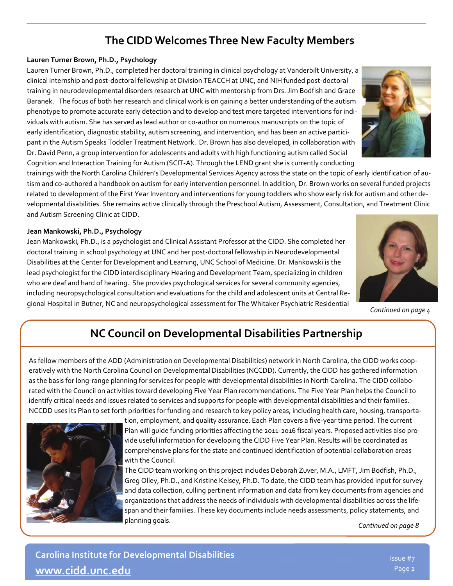### **The CIDD WelcomesThree New Faculty Members**

#### Lauren Turner Brown, Ph.D., Psychology

Lauren Turner Brown, Ph.D., completed her doctoral training in clinical psychology at Vanderbilt University, a clinical internship and post‐doctoral fellowship at Division TEACCH at UNC, and NIH funded post‐doctoral training in neurodevelopmental disorders research at UNC with mentorship from Drs. Jim Bodfish and Grace Baranek. The focus of both her research and clinical work is on gaining a better understanding of the autism phenotype to promote accurate early detection and to develop and test more targeted interventions for indi‐ viduals with autism. She has served as lead author or co‐author on numerous manuscripts on the topic of early identification, diagnostic stability, autism screening, and intervention, and has been an active participant in the Autism Speaks Toddler Treatment Network. Dr. Brown has also developed, in collaboration with Dr. David Penn, a group intervention for adolescents and adults with high functioning autism called Social Cognition and Interaction Training for Autism (SCIT‐A). Through the LEND grant she is currently conducting



trainings with the North Carolina Children's Developmental Services Agency across the state on the topic of early identification of au‐ tism and co-authored a handbook on autism for early intervention personnel. In addition, Dr. Brown works on several funded projects related to development of the First Year Inventory and interventions for young toddlers who show early risk for autism and other de‐ velopmental disabilities. She remains active clinically through the Preschool Autism, Assessment, Consultation, and Treatment Clinic and Autism Screening Clinic at CIDD.

#### **Jean Mankowski, Ph.D., Psychology**

Jean Mankowski, Ph.D., is a psychologist and Clinical Assistant Professor at the CIDD. She completed her doctoral training in school psychology at UNC and her post‐doctoral fellowship in Neurodevelopmental Disabilities at the Center for Development and Learning, UNC School of Medicine. Dr. Mankowski is the lead psychologist for the CIDD interdisciplinary Hearing and Development Team, specializing in children who are deaf and hard of hearing. She provides psychological services for several community agencies, including neuropsychological consultation and evaluations for the child and adolescent units at Central Re‐ gional Hospital in Butner, NC and neuropsychological assessment for The Whitaker Psychiatric Residential



*Continued on page 4* 

### **NC Council on Developmental Disabilities Partnership**

As fellow members of the ADD (Administration on Developmental Disabilities) network in North Carolina, the CIDD works coop‐ eratively with the North Carolina Council on Developmental Disabilities (NCCDD). Currently, the CIDD has gathered information as the basis for long‐range planning for services for people with developmental disabilities in North Carolina. The CIDD collabo‐ rated with the Council on activities toward developing Five Year Plan recommendations. The Five Year Plan helps the Council to identify critical needs and issues related to services and supports for people with developmental disabilities and their families. NCCDD uses its Plan to set forth priorities for funding and research to key policy areas, including health care, housing, transporta‐



tion, employment, and quality assurance. Each Plan covers a five‐year time period. The current Plan will guide funding priorities affecting the 2011‐2016 fiscal years. Proposed activities also pro‐ vide useful information for developing the CIDD Five Year Plan. Results will be coordinated as comprehensive plans for the state and continued identification of potential collaboration areas with the Council.

The CIDD team working on this project includes Deborah Zuver, M.A., LMFT, Jim Bodfish, Ph.D., Greg Olley, Ph.D., and Kristine Kelsey, Ph.D. To date, the CIDD team has provided input for survey and data collection, culling pertinent information and data from key documents from agencies and organizations that address the needs of individuals with developmental disabilities across the life‐ span and their families. These key documents include needs assessments, policy statements, and planning goals.

*Continued on page 8*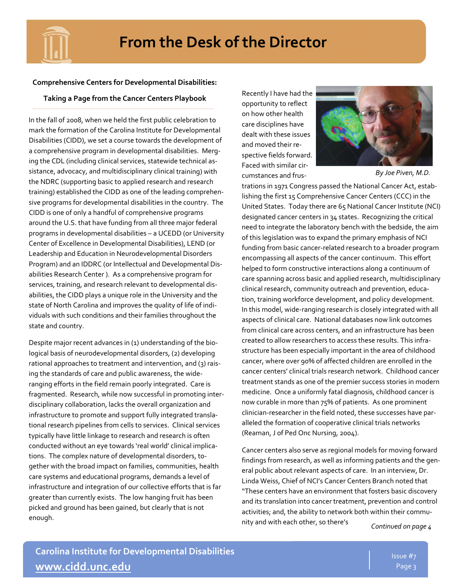

#### **Comprehensive Centers for Developmental Disabilities:**

#### **Taking a Page from the Cancer Centers Playbook**

In the fall of 2008, when we held the first public celebration to mark the formation of the Carolina Institute for Developmental Disabilities (CIDD), we set a course towards the development of a comprehensive program in developmental disabilities. Merg‐ ing the CDL (including clinical services, statewide technical as‐ sistance, advocacy, and multidisciplinary clinical training) with the NDRC (supporting basic to applied research and research training) established the CIDD as one of the leading comprehen‐ sive programs for developmental disabilities in the country. The CIDD is one of only a handful of comprehensive programs around the U.S. that have funding from all three major federal programs in developmental disabilities – a UCEDD (or University Center of Excellence in Developmental Disabilities), LEND (or Leadership and Education in Neurodevelopmental Disorders Program) and an IDDRC (or Intellectual and Developmental Dis‐ abilities Research Center ). As a comprehensive program for services, training, and research relevant to developmental dis‐ abilities, the CIDD plays a unique role in the University and the state of North Carolina and improves the quality of life of indi‐ viduals with such conditions and their families throughout the state and country.

Despite major recent advances in (1) understanding of the biological basis of neurodevelopmental disorders, (2) developing rational approaches to treatment and intervention, and (3) rais‐ ing the standards of care and public awareness, the wide‐ ranging efforts in the field remain poorly integrated. Care is fragmented. Research, while now successful in promoting inter‐ disciplinary collaboration, lacks the overall organization and infrastructure to promote and support fully integrated transla‐ tional research pipelines from cells to services. Clinical services typically have little linkage to research and research is often conducted without an eye towards 'real world' clinical implica‐ tions. The complex nature of developmental disorders, to‐ gether with the broad impact on families, communities, health care systems and educational programs, demands a level of infrastructure and integration of our collective efforts that is far greater than currently exists. The low hanging fruit has been picked and ground has been gained, but clearly that is not enough.

Recently I have had the opportunity to reflect on how other health care disciplines have dealt with these issues and moved their re‐ spective fields forward. Faced with similar cir‐ cumstances and frus‐



*By Joe Piven, M.D.* 

trations in 1971 Congress passed the National Cancer Act, estab‐ lishing the first 15 Comprehensive Cancer Centers (CCC) in the United States. Today there are 65 National Cancer Institute (NCI) designated cancer centers in 34 states. Recognizing the critical need to integrate the laboratory bench with the bedside, the aim of this legislation was to expand the primary emphasis of NCI funding from basic cancer‐related research to a broader program encompassing all aspects of the cancer continuum. This effort helped to form constructive interactions along a continuum of care spanning across basic and applied research, multidisciplinary clinical research, community outreach and prevention, educa‐ tion, training workforce development, and policy development. In this model, wide‐ranging research is closely integrated with all aspects of clinical care. National databases now link outcomes from clinical care across centers, and an infrastructure has been created to allow researchers to access these results. This infra‐ structure has been especially important in the area of childhood cancer, where over 90% of affected children are enrolled in the cancer centers' clinical trials research network. Childhood cancer treatment stands as one of the premier success stories in modern medicine. Once a uniformly fatal diagnosis, childhood cancer is now curable in more than 75% of patients. As one prominent clinician‐researcher in the field noted, these successes have par‐ alleled the formation of cooperative clinical trials networks (Reaman, J of Ped Onc Nursing, 2004).

Cancer centers also serve as regional models for moving forward findings from research, as well as informing patients and the gen‐ eral public about relevant aspects of care. In an interview, Dr. Linda Weiss, Chief of NCI's Cancer Centers Branch noted that "These centers have an environment that fosters basic discovery and its translation into cancer treatment, prevention and control activities; and, the ability to network both within their community and with each other, so there's

*Continued on page 4*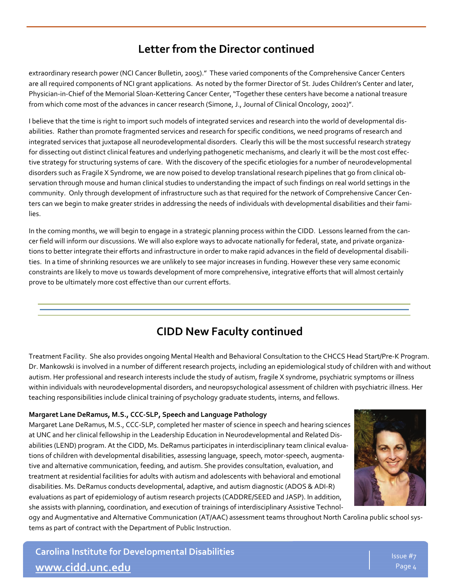### **Letter from the Director continued**

extraordinary research power (NCI Cancer Bulletin, 2005)." These varied components of the Comprehensive Cancer Centers are all required components of NCI grant applications. As noted by the former Director of St. Judes Children's Center and later, Physician‐in‐Chief of the Memorial Sloan‐Kettering Cancer Center, "Together these centers have become a national treasure from which come most of the advances in cancer research (Simone, J., Journal of Clinical Oncology, 2002)".

I believe that the time is right to import such models of integrated services and research into the world of developmental dis‐ abilities. Rather than promote fragmented services and research for specific conditions, we need programs of research and integrated services that juxtapose all neurodevelopmental disorders. Clearly this will be the most successful research strategy for dissecting out distinct clinical features and underlying pathogenetic mechanisms, and clearly it will be the most cost effec‐ tive strategy for structuring systems of care. With the discovery of the specific etiologies for a number of neurodevelopmental disorders such as Fragile X Syndrome, we are now poised to develop translational research pipelines that go from clinical ob‐ servation through mouse and human clinical studies to understanding the impact of such findings on real world settings in the community. Only through development of infrastructure such as that required for the network of Comprehensive Cancer Cen‐ ters can we begin to make greater strides in addressing the needs of individuals with developmental disabilities and their fami‐ lies.

In the coming months, we will begin to engage in a strategic planning process within the CIDD. Lessons learned from the cancer field will inform our discussions. We will also explore ways to advocate nationally for federal, state, and private organiza‐ tions to better integrate their efforts and infrastructure in order to make rapid advances in the field of developmental disabilities. In a time of shrinking resources we are unlikely to see major increases in funding. However these very same economic constraints are likely to move us towards development of more comprehensive, integrative efforts that will almost certainly prove to be ultimately more cost effective than our current efforts.

### **CIDD New Faculty continued**

Treatment Facility. She also provides ongoing Mental Health and Behavioral Consultation to the CHCCS Head Start/Pre‐K Program. Dr. Mankowski is involved in a number of different research projects, including an epidemiological study of children with and without autism. Her professional and research interests include the study of autism, fragile X syndrome, psychiatric symptoms or illness within individuals with neurodevelopmental disorders, and neuropsychological assessment of children with psychiatric illness. Her teaching responsibilities include clinical training of psychology graduate students, interns, and fellows.

#### Margaret Lane DeRamus, M.S., CCC-SLP, Speech and Language Pathology

Margaret Lane DeRamus, M.S., CCC‐SLP, completed her master of science in speech and hearing sciences at UNC and her clinical fellowship in the Leadership Education in Neurodevelopmental and Related Dis‐ abilities (LEND) program. At the CIDD, Ms. DeRamus participates in interdisciplinary team clinical evalua‐ tions of children with developmental disabilities, assessing language, speech, motor‐speech, augmenta‐ tive and alternative communication, feeding, and autism. She provides consultation, evaluation, and treatment at residential facilities for adults with autism and adolescents with behavioral and emotional disabilities. Ms. DeRamus conducts developmental, adaptive, and autism diagnostic (ADOS & ADI‐R) evaluations as part of epidemiology of autism research projects (CADDRE/SEED and JASP). In addition, she assists with planning, coordination, and execution of trainings of interdisciplinary Assistive Technol-



ogy and Augmentative and Alternative Communication (AT/AAC) assessment teams throughout North Carolina public school sys‐ tems as part of contract with the Department of Public Instruction.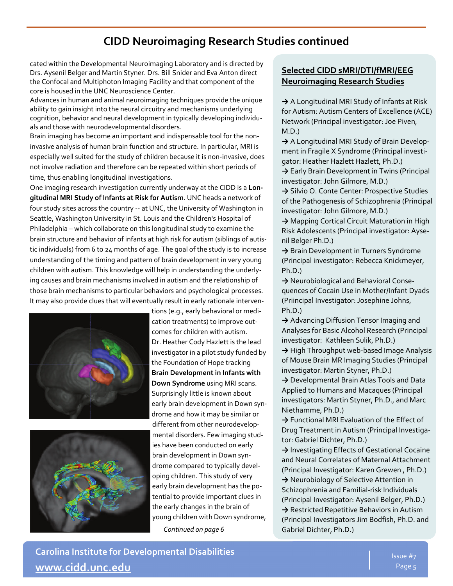### **CIDD Neuroimaging Research Studies continued**

cated within the Developmental Neuroimaging Laboratory and is directed by Drs. Aysenil Belger and Martin Styner. Drs. Bill Snider and Eva Anton direct the Confocal and Multiphoton Imaging Facility and that component of the core is housed in the UNC Neuroscience Center.

Advances in human and animal neuroimaging techniques provide the unique ability to gain insight into the neural circuitry and mechanisms underlying cognition, behavior and neural development in typically developing individu‐ als and those with neurodevelopmental disorders.

Brain imaging has become an important and indispensable tool for the non‐ invasive analysis of human brain function and structure. In particular, MRI is especially well suited for the study of children because it is non‐invasive, does not involve radiation and therefore can be repeated within short periods of time, thus enabling longitudinal investigations.

One imaging research investigation currently underway at the CIDD is a **Lon‐ gitudinal MRI Study of Infants at Risk for Autism**. UNC heads a network of four study sites across the country -- at UNC, the University of Washington in Seattle, Washington University in St. Louis and the Children's Hospital of Philadelphia – which collaborate on this longitudinal study to examine the brain structure and behavior of infants at high risk for autism (siblings of autis‐ tic individuals) from 6 to 24 months of age. The goal of the study is to increase understanding of the timing and pattern of brain development in very young children with autism. This knowledge will help in understanding the underly‐ ing causes and brain mechanisms involved in autism and the relationship of those brain mechanisms to particular behaviors and psychological processes. It may also provide clues that will eventually result in early rationale interven‐





tions (e.g., early behavioral or medi‐ cation treatments) to improve out‐ comes for children with autism. Dr. Heather Cody Hazlett is the lead investigator in a pilot study funded by the Foundation of Hope tracking **Brain Development in Infants with Down Syndrome** using MRI scans. Surprisingly little is known about early brain development in Down syn‐ drome and how it may be similar or different from other neurodevelop‐ mental disorders. Few imaging stud‐ ies have been conducted on early brain development in Down syn‐ drome compared to typically devel‐ oping children. This study of very early brain development has the po‐ tential to provide important clues in the early changes in the brain of young children with Down syndrome, *Continued on page 6*  Gabriel Dichter, Ph.D.)

#### **Selected CIDD sMRI/DTI/fMRI/EEG Neuroimaging Research Studies**

**→** A Longitudinal MRI Study of Infants at Risk for Autism: Autism Centers of Excellence (ACE) Network (Principal investigator: Joe Piven, M.D.)

**→** A Longitudinal MRI Study of Brain Develop‐ ment in Fragile X Syndrome (Principal investi‐ gator: Heather Hazlett Hazlett, Ph.D.)

**→** Early Brain Development in Twins (Principal investigator: John Gilmore, M.D.)

**→** Silvio O. Conte Center: Prospective Studies of the Pathogenesis of Schizophrenia (Principal investigator: John Gilmore, M.D.)

**→** Mapping Cortical Circuit Maturation in High Risk Adolescents (Principal investigator: Ayse‐ nil Belger Ph.D.)

**→** Brain Development in Turners Syndrome (Principal investigator: Rebecca Knickmeyer, Ph.D.)

**→** Neurobiological and Behavioral Conse‐ quences of Cocain Use in Mother/Infant Dyads (Priincipal Investigator: Josephine Johns, Ph.D.)

**→** Advancing Diffusion Tensor Imaging and Analyses for Basic Alcohol Research (Principal investigator: Kathleen Sulik, Ph.D.)

**→** High Throughput web‐based Image Analysis of Mouse Brain MR Imaging Studies (Principal investigator: Martin Styner, Ph.D.)

**→** Developmental Brain Atlas Tools and Data Applied to Humans and Macaques (Principal investigators: Martin Styner, Ph.D., and Marc Niethamme, Ph.D.)

**→** Functional MRI Evaluation of the Effect of Drug Treatment in Autism (Principal Investiga‐ tor: Gabriel Dichter, Ph.D.)

**→** Investigating Effects of Gestational Cocaine and Neural Correlates of Maternal Attachment (Principal Investigator: Karen Grewen , Ph.D.) **→** Neurobiology of Selective Attention in Schizophrenia and Familial‐risk Individuals (Principal Investigator: Aysenil Belger, Ph.D.) **→** Restricted Repetitive Behaviors in Autism (Principal Investigators Jim Bodfish, Ph.D. and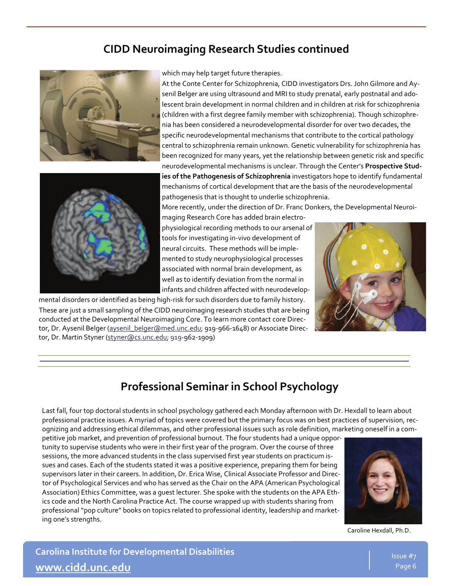### **CIDD Neuroimaging Research Studies continued**





which may help target future therapies.

At the Conte Center for Schizophrenia, CIDD investigators Drs. John Gilmore and Ay‐ senil Belger are using ultrasound and MRI to study prenatal, early postnatal and ado‐ lescent brain development in normal children and in children at risk for schizophrenia (children with a first degree family member with schizophrenia). Though schizophre‐ nia has been considered a neurodevelopmental disorder for over two decades, the specific neurodevelopmental mechanisms that contribute to the cortical pathology central to schizophrenia remain unknown. Genetic vulnerability for schizophrenia has been recognized for many years, yet the relationship between genetic risk and specific neurodevelopmental mechanisms is unclear. Through the Center's **Prospective Stud‐ ies of the Pathogenesis of Schizophrenia** investigators hope to identify fundamental mechanisms of cortical development that are the basis of the neurodevelopmental pathogenesis that is thought to underlie schizophrenia.

More recently, under the direction of Dr. Franc Donkers, the Developmental Neuroimaging Research Core has added brain electro‐

physiological recording methods to our arsenal of tools for investigating in‐vivo development of neural circuits. These methods will be imple‐ mented to study neurophysiological processes associated with normal brain development, as well as to identify deviation from the normal in infants and children affected with neurodevelop‐

mental disorders or identified as being high‐risk for such disorders due to family history. These are just a small sampling of the CIDD neuroimaging research studies that are being conducted at the Developmental Neuroimaging Core. To learn more contact core Direc‐ tor, Dr. Aysenil Belger [\(aysenil\\_belger@med.unc.edu](mailto:aysenil_belger@med.unc.edu); 919-966-1648) or Associate Direc-tor, Dr. Martin Styner [\(styner@cs.unc.edu](mailto:styner@cs.unc.edu); 919-962-1909)



### **Professional Seminar in School Psychology**

Last fall, four top doctoral students in school psychology gathered each Monday afternoon with Dr. Hexdall to learn about professional practice issues. A myriad of topics were covered but the primary focus was on best practices of supervision, rec‐ ognizing and addressing ethical dilemmas, and other professional issues such as role definition, marketing oneself in a com‐

petitive job market, and prevention of professional burnout. The four students had a unique oppor‐ tunity to supervise students who were in their first year of the program. Over the course of three sessions, the more advanced students in the class supervised first year students on practicum is‐ sues and cases. Each of the students stated it was a positive experience, preparing them for being supervisors later in their careers. In addition, Dr. Erica Wise, Clinical Associate Professor and Direc‐ tor of Psychological Services and who has served as the Chair on the APA (American Psychological Association) Ethics Committee, was a guest lecturer. She spoke with the students on the APA Eth‐ ics code and the North Carolina Practice Act. The course wrapped up with students sharing from professional "pop culture" books on topics related to professional identity, leadership and marketing one's strengths.



Caroline Hexdall, Ph.D.

**Carolina Institute for Developmental Disabilities [www.cidd.unc.edu](http://www.cidd.unc.edu/)**

Issue #7 Page 6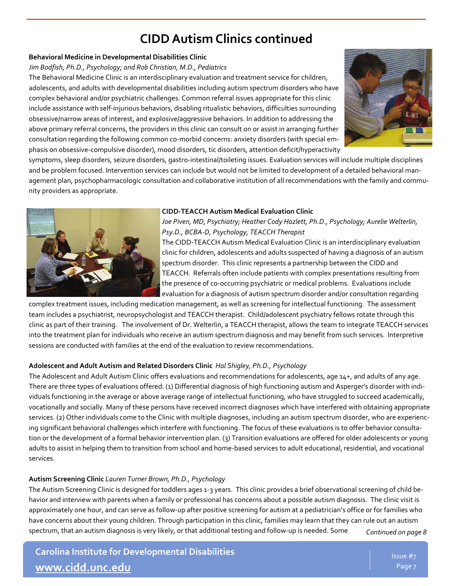## **CIDDAutism Clinics continued**

#### **Behavioral Medicine in Developmental Disabilities Clinic**

*Jim Bodfish, Ph.D., Psychology; and Rob Christian, M.D., Pediatrics*

The Behavioral Medicine Clinic is an interdisciplinary evaluation and treatment service for children, adolescents, and adults with developmental disabilities including autism spectrum disorders who have complex behavioral and/or psychiatric challenges. Common referral issues appropriate for this clinic include assistance with self‐injurious behaviors, disabling ritualistic behaviors, difficulties surrounding obsessive/narrow areas of interest, and explosive/aggressive behaviors. In addition to addressing the above primary referral concerns, the providers in this clinic can consult on or assist in arranging further consultation regarding the following common co-morbid concerns: anxiety disorders (with special emphasis on obsessive‐compulsive disorder), mood disorders, tic disorders, attention deficit/hyperactivity



symptoms, sleep disorders, seizure disorders, gastro‐intestinal/toileting issues. Evaluation services will include multiple disciplines and be problem focused. Intervention services can include but would not be limited to development of a detailed behavioral man‐ agement plan, psychopharmacologic consultation and collaborative institution of all recommendations with the family and community providers as appropriate.



#### **CIDD‐TEACCH Autism Medical Evaluation Clinic**

*Joe Piven, MD, Psychiatry; Heather Cody Hazlett, Ph.D., Psychology; Aurelie Welterlin, Psy.D., BCBA‐D, Psychology, TEACCH Therapist*

The CIDD‐TEACCH Autism Medical Evaluation Clinic is an interdisciplinary evaluation clinic for children, adolescents and adults suspected of having a diagnosis of an autism spectrum disorder. This clinic represents a partnership between the CIDD and TEACCH. Referrals often include patients with complex presentations resulting from the presence of co‐occurring psychiatric or medical problems. Evaluations include evaluation for a diagnosis of autism spectrum disorder and/or consultation regarding

complex treatment issues, including medication management, as well as screening for intellectual functioning. The assessment team includes a psychiatrist, neuropsychologist and TEACCH therapist. Child/adolescent psychiatry fellows rotate through this clinic as part of their training. The involvement of Dr. Welterlin, a TEACCH therapist, allows the team to integrate TEACCH services into the treatment plan for individuals who receive an autism spectrum diagnosis and may benefit from such services. Interpretive sessions are conducted with families at the end of the evaluation to review recommendations.

#### **Adolescent and Adult Autism and Related Disorders Clinic** *Hal Shigley, Ph.D., Psychology*

The Adolescent and Adult Autism Clinic offers evaluations and recommendations for adolescents, age 14+, and adults of any age. There are three types of evaluations offered: (1) Differential diagnosis of high functioning autism and Asperger's disorder with indi‐ viduals functioning in the average or above average range of intellectual functioning, who have struggled to succeed academically, vocationally and socially. Many of these persons have received incorrect diagnoses which have interfered with obtaining appropriate services. (2) Other individuals come to the Clinic with multiple diagnoses, including an autism spectrum disorder, who are experiencing significant behavioral challenges which interfere with functioning. The focus of these evaluations is to offer behavior consultation or the development of a formal behavior intervention plan. (3) Transition evaluations are offered for older adolescents or young adults to assist in helping them to transition from school and home‐based services to adult educational, residential, and vocational services.

#### **Autism Screening Clinic** *Lauren Turner Brown, Ph.D., Psychology*

The Autism Screening Clinic is designed for toddlers ages 1‐3 years. This clinic provides a brief observational screening of child be‐ havior and interview with parents when a family or professional has concerns about a possible autism diagnosis. The clinic visit is approximately one hour, and can serve as follow-up after positive screening for autism at a pediatrician's office or for families who have concerns about their young children. Through participation in this clinic, families may learn that they can rule out an autism spectrum, that an autism diagnosis is very likely, or that additional testing and follow‐up is needed. Some *Continued on page 8* 

**Carolina Institute for Developmental Disabilities [www.cidd.unc.edu](http://www.cidd.unc.edu/)**

lssue #7 Page 7 Page 7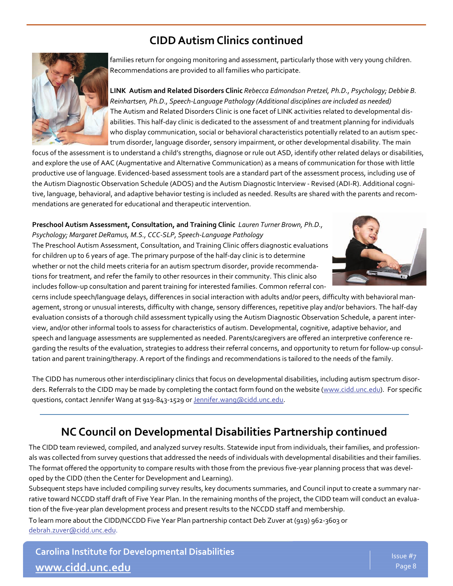### **CIDDAutism Clinics continued**



families return for ongoing monitoring and assessment, particularly those with very young children. Recommendations are provided to all families who participate.

**LINK Autism and Related Disorders Clinic** *Rebecca Edmondson Pretzel, Ph.D., Psychology; Debbie B. Reinhartsen, Ph.D., Speech‐Language Pathology (Additional disciplines are included as needed)* The Autism and Related Disorders Clinic is one facet of LINK activities related to developmental dis‐ abilities. This half-day clinic is dedicated to the assessment of and treatment planning for individuals who display communication, social or behavioral characteristics potentially related to an autism spec‐ trum disorder, language disorder, sensory impairment, or other developmental disability. The main

focus of the assessment is to understand a child's strengths, diagnose or rule out ASD, identify other related delays or disabilities, and explore the use of AAC (Augmentative and Alternative Communication) as a means of communication for those with little productive use of language. Evidenced‐based assessment tools are a standard part of the assessment process, including use of the Autism Diagnostic Observation Schedule (ADOS) and the Autism Diagnostic Interview ‐ Revised (ADI‐R). Additional cogni‐ tive, language, behavioral, and adaptive behavior testing is included as needed. Results are shared with the parents and recom‐ mendations are generated for educational and therapeutic intervention.

### **Preschool Autism Assessment, Consultation, and Training Clinic** *Lauren Turner Brown, Ph.D.,*

*Psychology; Margaret DeRamus, M.S., CCC‐SLP, Speech‐Language Pathology*

The Preschool Autism Assessment, Consultation, and Training Clinic offers diagnostic evaluations for children up to 6 years of age. The primary purpose of the half-day clinic is to determine whether or not the child meets criteria for an autism spectrum disorder, provide recommendations for treatment, and refer the family to other resources in their community. This clinic also includes follow-up consultation and parent training for interested families. Common referral con-



cerns include speech/language delays, differences in social interaction with adults and/or peers, difficulty with behavioral man‐ agement, strong or unusual interests, difficulty with change, sensory differences, repetitive play and/or behaviors. The half‐day evaluation consists of a thorough child assessment typically using the Autism Diagnostic Observation Schedule, a parent interview, and/or other informal tools to assess for characteristics of autism. Developmental, cognitive, adaptive behavior, and speech and language assessments are supplemented as needed. Parents/caregivers are offered an interpretive conference re‐ garding the results of the evaluation, strategies to address their referral concerns, and opportunity to return for follow‐up consul‐ tation and parent training/therapy. A report of the findings and recommendations is tailored to the needs of the family.

The CIDD has numerous other interdisciplinary clinics that focus on developmental disabilities, including autism spectrum disor‐ ders. Referrals to the CIDD may be made by completing the contact form found on the website [\(www.cidd.unc.edu](http://www.cidd.unc.edu/)). For specific questions, contact Jennifer Wang at 919-843-1529 or [Jennifer.wang@cidd.unc.edu](mailto:Julia.tarr@cidd.unc.edu).

### **NC Council on Developmental Disabilities Partnership continued**

The CIDD team reviewed, compiled, and analyzed survey results. Statewide input from individuals, their families, and profession‐ als was collected from survey questions that addressed the needs of individuals with developmental disabilities and their families. The format offered the opportunity to compare results with those from the previous five‐year planning process that was devel‐ oped by the CIDD (then the Center for Development and Learning).

Subsequent steps have included compiling survey results, key documents summaries, and Council input to create a summary nar‐ rative toward NCCDD staff draft of Five Year Plan. In the remaining months of the project, the CIDD team will conduct an evalua‐ tion of the five‐year plan development process and present results to the NCCDD staff and membership.

To learn more about the CIDD/NCCDD Five Year Plan partnership contact Deb Zuver at (919) 962‐3603 or [debrah.zuver@cidd.unc.edu](mailto:deborah.zuver@cidd.unc.edu?subject=NC%20Council%20on%20DD%20Partnership).

**Carolina Institute for Developmental Disabilities [www.cidd.unc.edu](http://www.cidd.unc.edu/)**